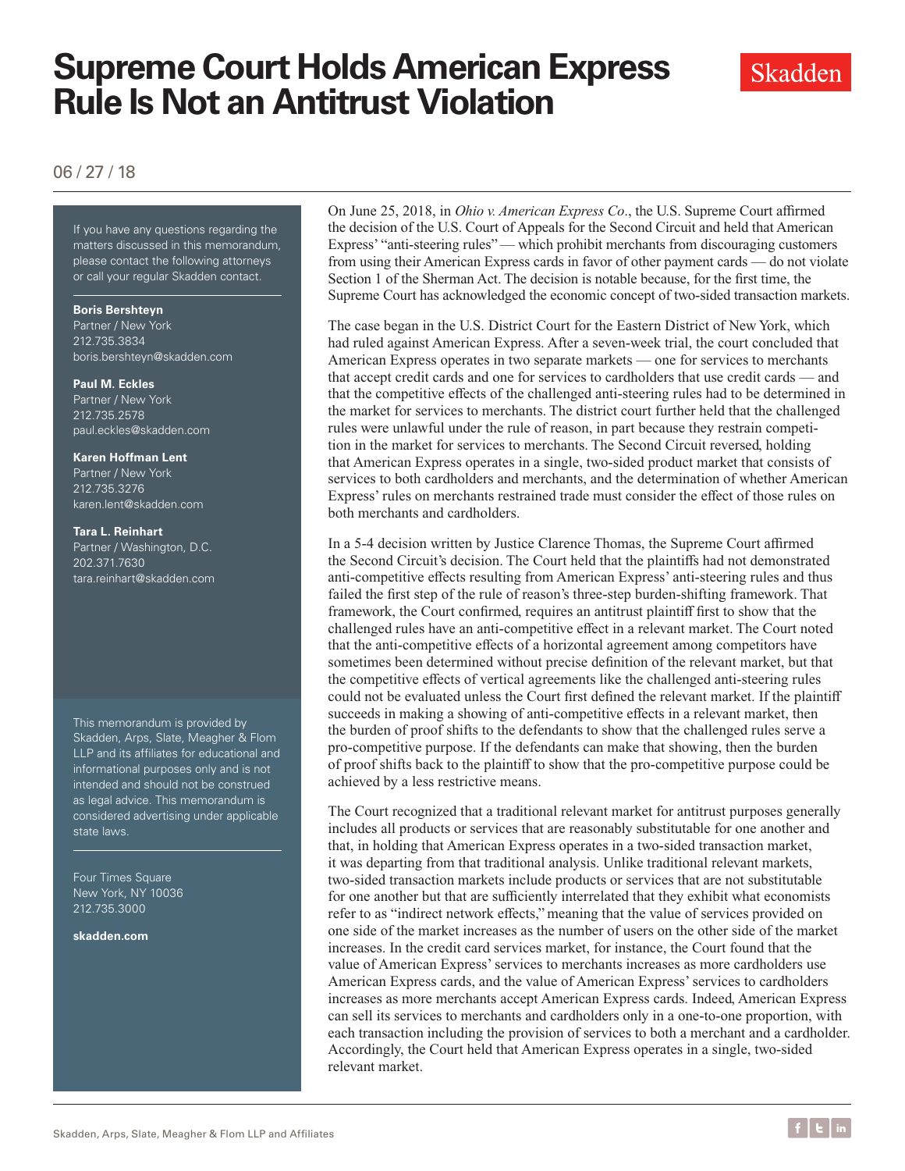# **Supreme Court Holds American Express Rule Is Not an Antitrust Violation**



### 06 / 27 / 18

If you have any questions regarding the matters discussed in this memorandum, please contact the following attorneys or call your regular Skadden contact.

#### **Boris Bershteyn**

Partner / New York 212.735.3834 boris.bershteyn@skadden.com

#### **Paul M. Eckles**

Partner / New York 212.735.2578 paul.eckles@skadden.com

#### **Karen Hoffman Lent**

Partner / New York 212.735.3276 karen.lent@skadden.com

#### **Tara L. Reinhart**

Partner / Washington, D.C. 202.371.7630 tara.reinhart@skadden.com

This memorandum is provided by Skadden, Arps, Slate, Meagher & Flom LLP and its affiliates for educational and informational purposes only and is not intended and should not be construed as legal advice. This memorandum is considered advertising under applicable state laws.

Four Times Square New York, NY 10036 212.735.3000

**[skadden.com](http://www.skadden.com)**

On June 25, 2018, in *Ohio v. American Express Co*., the U.S. Supreme Court affirmed the decision of the U.S. Court of Appeals for the Second Circuit and held that American Express' "anti-steering rules" — which prohibit merchants from discouraging customers from using their American Express cards in favor of other payment cards — do not violate Section 1 of the Sherman Act. The decision is notable because, for the first time, the Supreme Court has acknowledged the economic concept of two-sided transaction markets.

The case began in the U.S. District Court for the Eastern District of New York, which had ruled against American Express. After a seven-week trial, the court concluded that American Express operates in two separate markets — one for services to merchants that accept credit cards and one for services to cardholders that use credit cards — and that the competitive effects of the challenged anti-steering rules had to be determined in the market for services to merchants. The district court further held that the challenged rules were unlawful under the rule of reason, in part because they restrain competition in the market for services to merchants. The Second Circuit reversed, holding that American Express operates in a single, two-sided product market that consists of services to both cardholders and merchants, and the determination of whether American Express' rules on merchants restrained trade must consider the effect of those rules on both merchants and cardholders.

In a 5-4 decision written by Justice Clarence Thomas, the Supreme Court affirmed the Second Circuit's decision. The Court held that the plaintiffs had not demonstrated anti-competitive effects resulting from American Express' anti-steering rules and thus failed the first step of the rule of reason's three-step burden-shifting framework. That framework, the Court confirmed, requires an antitrust plaintiff first to show that the challenged rules have an anti-competitive effect in a relevant market. The Court noted that the anti-competitive effects of a horizontal agreement among competitors have sometimes been determined without precise definition of the relevant market, but that the competitive effects of vertical agreements like the challenged anti-steering rules could not be evaluated unless the Court first defined the relevant market. If the plaintiff succeeds in making a showing of anti-competitive effects in a relevant market, then the burden of proof shifts to the defendants to show that the challenged rules serve a pro-competitive purpose. If the defendants can make that showing, then the burden of proof shifts back to the plaintiff to show that the pro-competitive purpose could be achieved by a less restrictive means.

The Court recognized that a traditional relevant market for antitrust purposes generally includes all products or services that are reasonably substitutable for one another and that, in holding that American Express operates in a two-sided transaction market, it was departing from that traditional analysis. Unlike traditional relevant markets, two-sided transaction markets include products or services that are not substitutable for one another but that are sufficiently interrelated that they exhibit what economists refer to as "indirect network effects," meaning that the value of services provided on one side of the market increases as the number of users on the other side of the market increases. In the credit card services market, for instance, the Court found that the value of American Express' services to merchants increases as more cardholders use American Express cards, and the value of American Express' services to cardholders increases as more merchants accept American Express cards. Indeed, American Express can sell its services to merchants and cardholders only in a one-to-one proportion, with each transaction including the provision of services to both a merchant and a cardholder. Accordingly, the Court held that American Express operates in a single, two-sided relevant market.